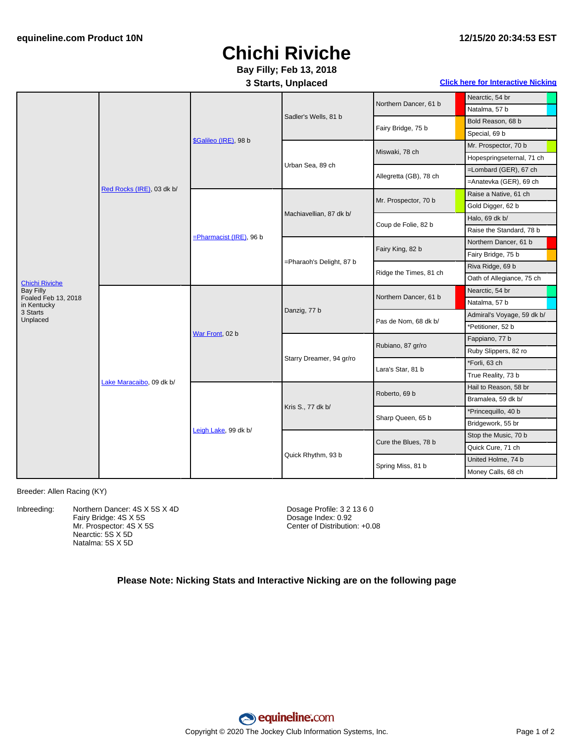## **Chichi Riviche Bay Filly; Feb 13, 2018**

### **3 Starts, Unplaced Click here for [Interactive](#page-1-0) Nicking**

| <b>Chichi Riviche</b><br><b>Bay Filly</b> | Red Rocks (IRE), 03 dk b/ | \$Galileo (IRE), 98 b      | Sadler's Wells, 81 b     | Northern Dancer, 61 b  | Nearctic, 54 br            |
|-------------------------------------------|---------------------------|----------------------------|--------------------------|------------------------|----------------------------|
|                                           |                           |                            |                          |                        | Natalma, 57 b              |
|                                           |                           |                            |                          | Fairy Bridge, 75 b     | Bold Reason, 68 b          |
|                                           |                           |                            |                          |                        | Special, 69 b              |
|                                           |                           |                            | Urban Sea, 89 ch         | Miswaki, 78 ch         | Mr. Prospector, 70 b       |
|                                           |                           |                            |                          |                        | Hopespringseternal, 71 ch  |
|                                           |                           |                            |                          | Allegretta (GB), 78 ch | =Lombard (GER), 67 ch      |
|                                           |                           |                            |                          |                        | =Anatevka (GER), 69 ch     |
|                                           |                           | $=$ Pharmacist (IRE), 96 b | Machiavellian, 87 dk b/  | Mr. Prospector, 70 b   | Raise a Native, 61 ch      |
|                                           |                           |                            |                          |                        | Gold Digger, 62 b          |
|                                           |                           |                            |                          | Coup de Folie, 82 b    | Halo, 69 dk b/             |
|                                           |                           |                            |                          |                        | Raise the Standard, 78 b   |
|                                           |                           |                            | =Pharaoh's Delight, 87 b | Fairy King, 82 b       | Northern Dancer, 61 b      |
|                                           |                           |                            |                          |                        | Fairy Bridge, 75 b         |
|                                           |                           |                            |                          | Ridge the Times, 81 ch | Riva Ridge, 69 b           |
|                                           |                           |                            |                          |                        | Oath of Allegiance, 75 ch  |
|                                           | Lake Maracaibo, 09 dk b/  | War Front, 02 b            | Danzig, 77 b             | Northern Dancer, 61 b  | Nearctic, 54 br            |
| Foaled Feb 13, 2018<br>in Kentucky        |                           |                            |                          |                        | Natalma, 57 b              |
| 3 Starts<br>Unplaced                      |                           |                            |                          | Pas de Nom, 68 dk b/   | Admiral's Voyage, 59 dk b/ |
|                                           |                           |                            |                          |                        | *Petitioner, 52 b          |
|                                           |                           |                            | Starry Dreamer, 94 gr/ro | Rubiano, 87 gr/ro      | Fappiano, 77 b             |
|                                           |                           |                            |                          |                        | Ruby Slippers, 82 ro       |
|                                           |                           |                            |                          | Lara's Star, 81 b      | *Forli, 63 ch              |
|                                           |                           |                            |                          |                        | True Reality, 73 b         |
|                                           |                           | Leigh Lake, 99 dk b/       | Kris S., 77 dk b/        | Roberto, 69 b          | Hail to Reason, 58 br      |
|                                           |                           |                            |                          |                        | Bramalea, 59 dk b/         |
|                                           |                           |                            |                          | Sharp Queen, 65 b      | *Princequillo, 40 b        |
|                                           |                           |                            |                          |                        | Bridgework, 55 br          |
|                                           |                           |                            | Quick Rhythm, 93 b       | Cure the Blues, 78 b   | Stop the Music, 70 b       |
|                                           |                           |                            |                          |                        | Quick Cure, 71 ch          |
|                                           |                           |                            |                          | Spring Miss, 81 b      | United Holme, 74 b         |
|                                           |                           |                            |                          |                        | Money Calls, 68 ch         |

Breeder: Allen Racing (KY)

Inbreeding: Northern Dancer: 4S X 5S X 4D Fairy Bridge: 4S X 5S Mr. Prospector: 4S X 5S Nearctic: 5S X 5D Natalma: 5S X 5D

Dosage Profile: 3 2 13 6 0 Dosage Index: 0.92 Center of Distribution: +0.08

### **Please Note: Nicking Stats and Interactive Nicking are on the following page**